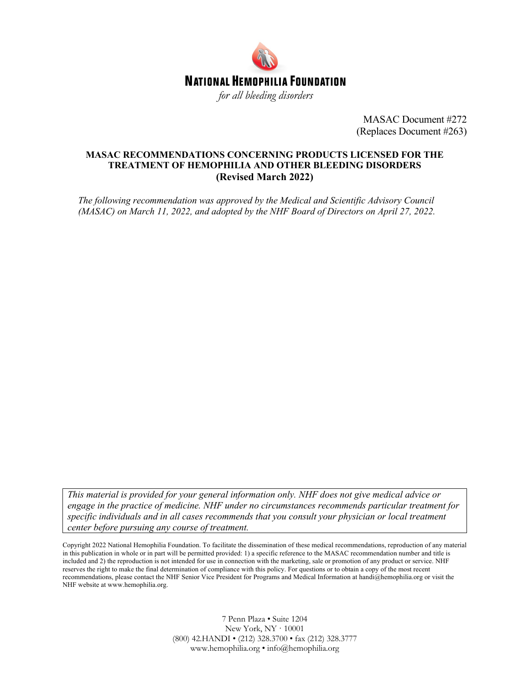

MASAC Document #272 (Replaces Document #263)

#### **MASAC RECOMMENDATIONS CONCERNING PRODUCTS LICENSED FOR THE TREATMENT OF HEMOPHILIA AND OTHER BLEEDING DISORDERS (Revised March 2022)**

*The following recommendation was approved by the Medical and Scientific Advisory Council (MASAC) on March 11, 2022, and adopted by the NHF Board of Directors on April 27, 2022.*

*This material is provided for your general information only. NHF does not give medical advice or engage in the practice of medicine. NHF under no circumstances recommends particular treatment for specific individuals and in all cases recommends that you consult your physician or local treatment center before pursuing any course of treatment.*

Copyright 2022 National Hemophilia Foundation. To facilitate the dissemination of these medical recommendations, reproduction of any material in this publication in whole or in part will be permitted provided: 1) a specific reference to the MASAC recommendation number and title is included and 2) the reproduction is not intended for use in connection with the marketing, sale or promotion of any product or service. NHF reserves the right to make the final determination of compliance with this policy. For questions or to obtain a copy of the most recent recommendations, please contact the NHF Senior Vice President for Programs and Medical Information at handi@hemophilia.org or visit the NHF website at www.hemophilia.org.

> 7 Penn Plaza • Suite 1204 New York, NY · 10001 (800) 42.HANDI • (212) 328.3700 • fax (212) 328.3777 www.hemophilia.org • info@hemophilia.org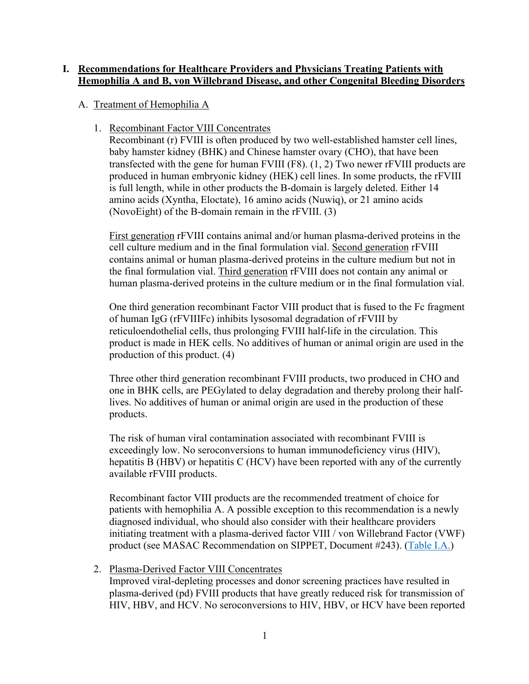### **I. Recommendations for Healthcare Providers and Physicians Treating Patients with Hemophilia A and B, von Willebrand Disease, and other Congenital Bleeding Disorders**

## A. Treatment of Hemophilia A

1. Recombinant Factor VIII Concentrates

Recombinant (r) FVIII is often produced by two well-established hamster cell lines, baby hamster kidney (BHK) and Chinese hamster ovary (CHO), that have been transfected with the gene for human FVIII (F8). (1, 2) Two newer rFVIII products are produced in human embryonic kidney (HEK) cell lines. In some products, the rFVIII is full length, while in other products the B-domain is largely deleted. Either 14 amino acids (Xyntha, Eloctate), 16 amino acids (Nuwiq), or 21 amino acids (NovoEight) of the B-domain remain in the rFVIII. (3)

First generation rFVIII contains animal and/or human plasma-derived proteins in the cell culture medium and in the final formulation vial. Second generation rFVIII contains animal or human plasma-derived proteins in the culture medium but not in the final formulation vial. Third generation rFVIII does not contain any animal or human plasma-derived proteins in the culture medium or in the final formulation vial.

One third generation recombinant Factor VIII product that is fused to the Fc fragment of human IgG (rFVIIIFc) inhibits lysosomal degradation of rFVIII by reticuloendothelial cells, thus prolonging FVIII half-life in the circulation. This product is made in HEK cells. No additives of human or animal origin are used in the production of this product. (4)

Three other third generation recombinant FVIII products, two produced in CHO and one in BHK cells, are PEGylated to delay degradation and thereby prolong their halflives. No additives of human or animal origin are used in the production of these products.

The risk of human viral contamination associated with recombinant FVIII is exceedingly low. No seroconversions to human immunodeficiency virus (HIV), hepatitis B (HBV) or hepatitis C (HCV) have been reported with any of the currently available rFVIII products.

Recombinant factor VIII products are the recommended treatment of choice for patients with hemophilia A. A possible exception to this recommendation is a newly diagnosed individual, who should also consider with their healthcare providers initiating treatment with a plasma-derived factor VIII / von Willebrand Factor (VWF) product (see MASAC Recommendation on SIPPET, Document #243). (Table I.A.)

2. Plasma-Derived Factor VIII Concentrates Improved viral-depleting processes and donor screening practices have resulted in plasma-derived (pd) FVIII products that have greatly reduced risk for transmission of HIV, HBV, and HCV. No seroconversions to HIV, HBV, or HCV have been reported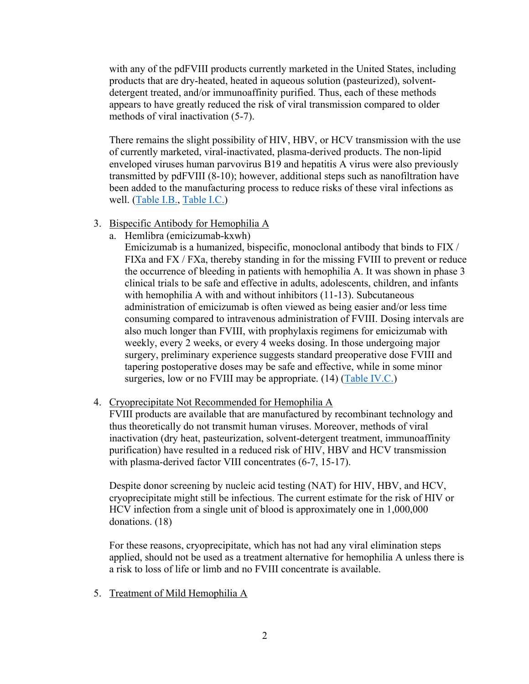with any of the pdFVIII products currently marketed in the United States, including products that are dry-heated, heated in aqueous solution (pasteurized), solventdetergent treated, and/or immunoaffinity purified. Thus, each of these methods appears to have greatly reduced the risk of viral transmission compared to older methods of viral inactivation (5-7).

There remains the slight possibility of HIV, HBV, or HCV transmission with the use of currently marketed, viral-inactivated, plasma-derived products. The non-lipid enveloped viruses human parvovirus B19 and hepatitis A virus were also previously transmitted by pdFVIII (8-10); however, additional steps such as nanofiltration have been added to the manufacturing process to reduce risks of these viral infections as well. (Table I.B., Table I.C.)

- 3. Bispecific Antibody for Hemophilia A
	- a. Hemlibra (emicizumab-kxwh)

Emicizumab is a humanized, bispecific, monoclonal antibody that binds to FIX / FIXa and FX / FXa, thereby standing in for the missing FVIII to prevent or reduce the occurrence of bleeding in patients with hemophilia A. It was shown in phase 3 clinical trials to be safe and effective in adults, adolescents, children, and infants with hemophilia A with and without inhibitors (11-13). Subcutaneous administration of emicizumab is often viewed as being easier and/or less time consuming compared to intravenous administration of FVIII. Dosing intervals are also much longer than FVIII, with prophylaxis regimens for emicizumab with weekly, every 2 weeks, or every 4 weeks dosing. In those undergoing major surgery, preliminary experience suggests standard preoperative dose FVIII and tapering postoperative doses may be safe and effective, while in some minor surgeries, low or no FVIII may be appropriate. (14) (Table IV.C.)

#### 4. Cryoprecipitate Not Recommended for Hemophilia A

FVIII products are available that are manufactured by recombinant technology and thus theoretically do not transmit human viruses. Moreover, methods of viral inactivation (dry heat, pasteurization, solvent-detergent treatment, immunoaffinity purification) have resulted in a reduced risk of HIV, HBV and HCV transmission with plasma-derived factor VIII concentrates (6-7, 15-17).

Despite donor screening by nucleic acid testing (NAT) for HIV, HBV, and HCV, cryoprecipitate might still be infectious. The current estimate for the risk of HIV or HCV infection from a single unit of blood is approximately one in 1,000,000 donations. (18)

For these reasons, cryoprecipitate, which has not had any viral elimination steps applied, should not be used as a treatment alternative for hemophilia A unless there is a risk to loss of life or limb and no FVIII concentrate is available.

5. Treatment of Mild Hemophilia A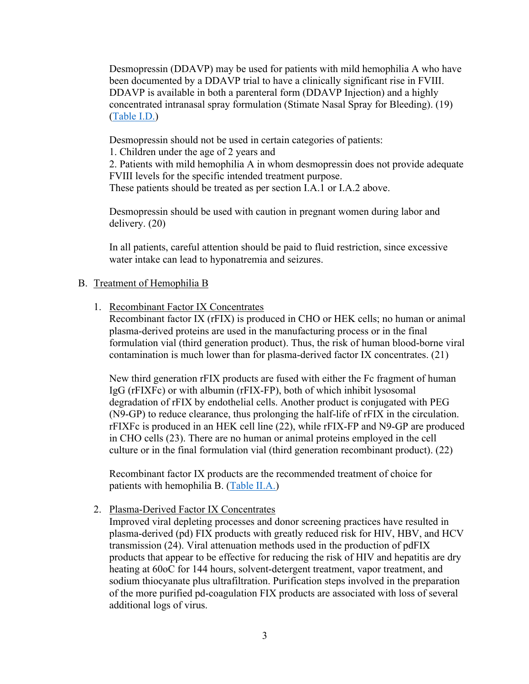Desmopressin (DDAVP) may be used for patients with mild hemophilia A who have been documented by a DDAVP trial to have a clinically significant rise in FVIII. DDAVP is available in both a parenteral form (DDAVP Injection) and a highly concentrated intranasal spray formulation (Stimate Nasal Spray for Bleeding). (19) (Table I.D.)

Desmopressin should not be used in certain categories of patients:

1. Children under the age of 2 years and

2. Patients with mild hemophilia A in whom desmopressin does not provide adequate FVIII levels for the specific intended treatment purpose. These patients should be treated as per section I.A.1 or I.A.2 above.

Desmopressin should be used with caution in pregnant women during labor and delivery. (20)

In all patients, careful attention should be paid to fluid restriction, since excessive water intake can lead to hyponatremia and seizures.

### B. Treatment of Hemophilia B

1. Recombinant Factor IX Concentrates

Recombinant factor IX (rFIX) is produced in CHO or HEK cells; no human or animal plasma-derived proteins are used in the manufacturing process or in the final formulation vial (third generation product). Thus, the risk of human blood-borne viral contamination is much lower than for plasma-derived factor IX concentrates. (21)

New third generation rFIX products are fused with either the Fc fragment of human IgG (rFIXFc) or with albumin (rFIX-FP), both of which inhibit lysosomal degradation of rFIX by endothelial cells. Another product is conjugated with PEG (N9-GP) to reduce clearance, thus prolonging the half-life of rFIX in the circulation. rFIXFc is produced in an HEK cell line (22), while rFIX-FP and N9-GP are produced in CHO cells (23). There are no human or animal proteins employed in the cell culture or in the final formulation vial (third generation recombinant product). (22)

Recombinant factor IX products are the recommended treatment of choice for patients with hemophilia B. (Table II.A.)

#### 2. Plasma-Derived Factor IX Concentrates

Improved viral depleting processes and donor screening practices have resulted in plasma-derived (pd) FIX products with greatly reduced risk for HIV, HBV, and HCV transmission (24). Viral attenuation methods used in the production of pdFIX products that appear to be effective for reducing the risk of HIV and hepatitis are dry heating at 60oC for 144 hours, solvent-detergent treatment, vapor treatment, and sodium thiocyanate plus ultrafiltration. Purification steps involved in the preparation of the more purified pd-coagulation FIX products are associated with loss of several additional logs of virus.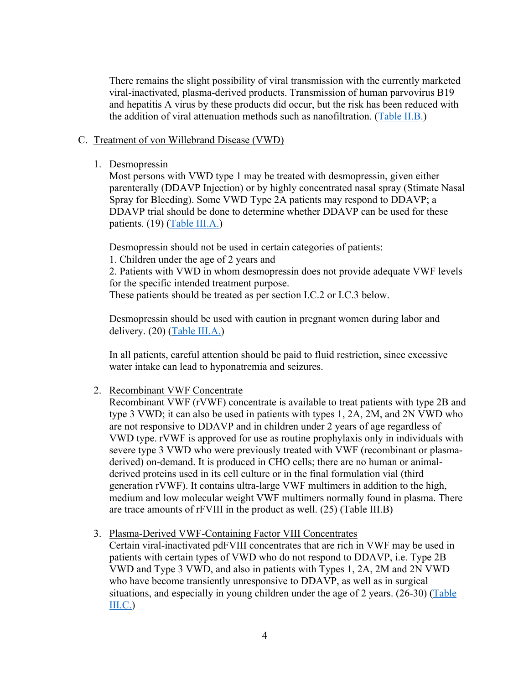There remains the slight possibility of viral transmission with the currently marketed viral-inactivated, plasma-derived products. Transmission of human parvovirus B19 and hepatitis A virus by these products did occur, but the risk has been reduced with the addition of viral attenuation methods such as nanofiltration. (Table II.B.)

#### C. Treatment of von Willebrand Disease (VWD)

1. Desmopressin

Most persons with VWD type 1 may be treated with desmopressin, given either parenterally (DDAVP Injection) or by highly concentrated nasal spray (Stimate Nasal Spray for Bleeding). Some VWD Type 2A patients may respond to DDAVP; a DDAVP trial should be done to determine whether DDAVP can be used for these patients. (19) (Table III.A.)

Desmopressin should not be used in certain categories of patients:

1. Children under the age of 2 years and

2. Patients with VWD in whom desmopressin does not provide adequate VWF levels for the specific intended treatment purpose.

These patients should be treated as per section I.C.2 or I.C.3 below.

Desmopressin should be used with caution in pregnant women during labor and delivery. (20) (Table III.A.)

In all patients, careful attention should be paid to fluid restriction, since excessive water intake can lead to hyponatremia and seizures.

2. Recombinant VWF Concentrate

Recombinant VWF (rVWF) concentrate is available to treat patients with type 2B and type 3 VWD; it can also be used in patients with types 1, 2A, 2M, and 2N VWD who are not responsive to DDAVP and in children under 2 years of age regardless of VWD type. rVWF is approved for use as routine prophylaxis only in individuals with severe type 3 VWD who were previously treated with VWF (recombinant or plasmaderived) on-demand. It is produced in CHO cells; there are no human or animalderived proteins used in its cell culture or in the final formulation vial (third generation rVWF). It contains ultra-large VWF multimers in addition to the high, medium and low molecular weight VWF multimers normally found in plasma. There are trace amounts of rFVIII in the product as well. (25) (Table III.B)

3. Plasma-Derived VWF-Containing Factor VIII Concentrates

Certain viral-inactivated pdFVIII concentrates that are rich in VWF may be used in patients with certain types of VWD who do not respond to DDAVP, i.e. Type 2B VWD and Type 3 VWD, and also in patients with Types 1, 2A, 2M and 2N VWD who have become transiently unresponsive to DDAVP, as well as in surgical situations, and especially in young children under the age of 2 years. (26-30) (Table III.C.)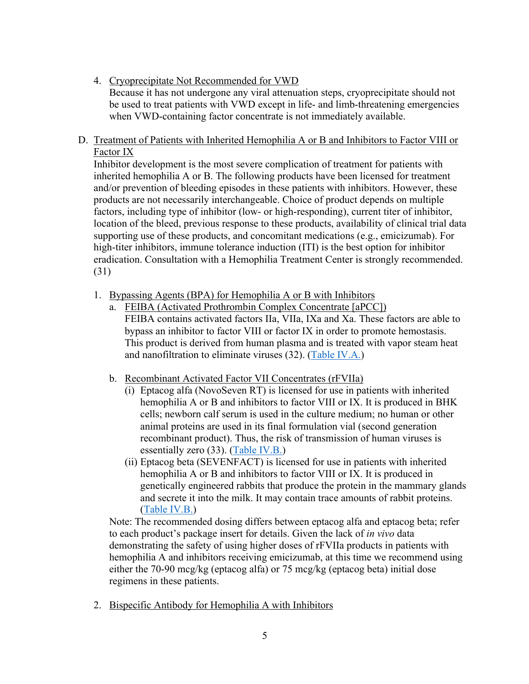- 4. Cryoprecipitate Not Recommended for VWD Because it has not undergone any viral attenuation steps, cryoprecipitate should not be used to treat patients with VWD except in life- and limb-threatening emergencies when VWD-containing factor concentrate is not immediately available.
- D. Treatment of Patients with Inherited Hemophilia A or B and Inhibitors to Factor VIII or Factor IX

Inhibitor development is the most severe complication of treatment for patients with inherited hemophilia A or B. The following products have been licensed for treatment and/or prevention of bleeding episodes in these patients with inhibitors. However, these products are not necessarily interchangeable. Choice of product depends on multiple factors, including type of inhibitor (low- or high-responding), current titer of inhibitor, location of the bleed, previous response to these products, availability of clinical trial data supporting use of these products, and concomitant medications (e.g., emicizumab). For high-titer inhibitors, immune tolerance induction (ITI) is the best option for inhibitor eradication. Consultation with a Hemophilia Treatment Center is strongly recommended. (31)

- 1. Bypassing Agents (BPA) for Hemophilia A or B with Inhibitors
	- a. FEIBA (Activated Prothrombin Complex Concentrate [aPCC]) FEIBA contains activated factors IIa, VIIa, IXa and Xa. These factors are able to bypass an inhibitor to factor VIII or factor IX in order to promote hemostasis. This product is derived from human plasma and is treated with vapor steam heat and nanofiltration to eliminate viruses (32). (Table IV.A.)
	- b. Recombinant Activated Factor VII Concentrates (rFVIIa)
		- (i) Eptacog alfa (NovoSeven RT) is licensed for use in patients with inherited hemophilia A or B and inhibitors to factor VIII or IX. It is produced in BHK cells; newborn calf serum is used in the culture medium; no human or other animal proteins are used in its final formulation vial (second generation recombinant product). Thus, the risk of transmission of human viruses is essentially zero (33). (Table IV.B.)
		- (ii) Eptacog beta (SEVENFACT) is licensed for use in patients with inherited hemophilia A or B and inhibitors to factor VIII or IX. It is produced in genetically engineered rabbits that produce the protein in the mammary glands and secrete it into the milk. It may contain trace amounts of rabbit proteins. (Table IV.B.)

Note: The recommended dosing differs between eptacog alfa and eptacog beta; refer to each product's package insert for details. Given the lack of *in vivo* data demonstrating the safety of using higher doses of rFVIIa products in patients with hemophilia A and inhibitors receiving emicizumab, at this time we recommend using either the 70-90 mcg/kg (eptacog alfa) or 75 mcg/kg (eptacog beta) initial dose regimens in these patients.

2. Bispecific Antibody for Hemophilia A with Inhibitors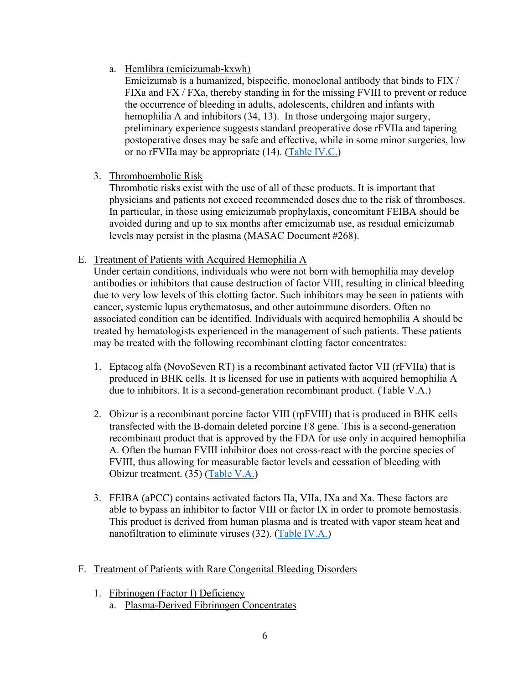a. Hemlibra (emicizumab-kxwh)

Emicizumab is a humanized, bispecific, monoclonal antibody that binds to FIX / FIXa and FX / FXa, thereby standing in for the missing FVIII to prevent or reduce the occurrence of bleeding in adults, adolescents, children and infants with hemophilia A and inhibitors (34, 13). In those undergoing major surgery, preliminary experience suggests standard preoperative dose rFVIIa and tapering postoperative doses may be safe and effective, while in some minor surgeries, low or no rFVIIa may be appropriate (14). (Table IV.C.)

# 3. Thromboembolic Risk

Thrombotic risks exist with the use of all of these products. It is important that physicians and patients not exceed recommended doses due to the risk of thromboses. In particular, in those using emicizumab prophylaxis, concomitant FEIBA should be avoided during and up to six months after emicizumab use, as residual emicizumab levels may persist in the plasma (MASAC Document #268).

## E. Treatment of Patients with Acquired Hemophilia A

Under certain conditions, individuals who were not born with hemophilia may develop antibodies or inhibitors that cause destruction of factor VIII, resulting in clinical bleeding due to very low levels of this clotting factor. Such inhibitors may be seen in patients with cancer, systemic lupus erythematosus, and other autoimmune disorders. Often no associated condition can be identified. Individuals with acquired hemophilia A should be treated by hematologists experienced in the management of such patients. These patients may be treated with the following recombinant clotting factor concentrates:

- 1. Eptacog alfa (NovoSeven RT) is a recombinant activated factor VII (rFVIIa) that is produced in BHK cells. It is licensed for use in patients with acquired hemophilia A due to inhibitors. It is a second-generation recombinant product. (Table V.A.)
- 2. Obizur is a recombinant porcine factor VIII (rpFVIII) that is produced in BHK cells transfected with the B-domain deleted porcine F8 gene. This is a second-generation recombinant product that is approved by the FDA for use only in acquired hemophilia A. Often the human FVIII inhibitor does not cross-react with the porcine species of FVIII, thus allowing for measurable factor levels and cessation of bleeding with Obizur treatment. (35) (Table V.A.)
- 3. FEIBA (aPCC) contains activated factors IIa, VIIa, IXa and Xa. These factors are able to bypass an inhibitor to factor VIII or factor IX in order to promote hemostasis. This product is derived from human plasma and is treated with vapor steam heat and nanofiltration to eliminate viruses (32). (Table IV.A.)
- F. Treatment of Patients with Rare Congenital Bleeding Disorders
	- 1. Fibrinogen (Factor I) Deficiency
		- a. Plasma-Derived Fibrinogen Concentrates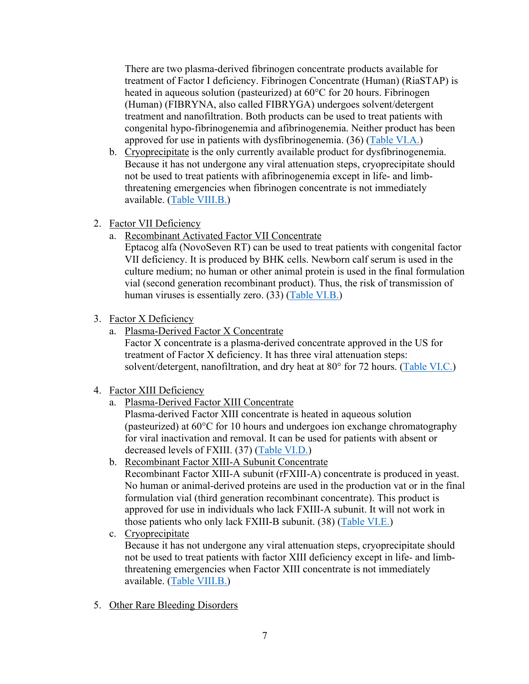There are two plasma-derived fibrinogen concentrate products available for treatment of Factor I deficiency. Fibrinogen Concentrate (Human) (RiaSTAP) is heated in aqueous solution (pasteurized) at 60°C for 20 hours. Fibrinogen (Human) (FIBRYNA, also called FIBRYGA) undergoes solvent/detergent treatment and nanofiltration. Both products can be used to treat patients with congenital hypo-fibrinogenemia and afibrinogenemia. Neither product has been approved for use in patients with dysfibrinogenemia. (36) (Table VI.A.)

- b. Cryoprecipitate is the only currently available product for dysfibrinogenemia. Because it has not undergone any viral attenuation steps, cryoprecipitate should not be used to treat patients with afibrinogenemia except in life- and limbthreatening emergencies when fibrinogen concentrate is not immediately available. (Table VIII.B.)
- 2. Factor VII Deficiency
	- a. Recombinant Activated Factor VII Concentrate

Eptacog alfa (NovoSeven RT) can be used to treat patients with congenital factor VII deficiency. It is produced by BHK cells. Newborn calf serum is used in the culture medium; no human or other animal protein is used in the final formulation vial (second generation recombinant product). Thus, the risk of transmission of human viruses is essentially zero. (33) (Table VI.B.)

- 3. Factor X Deficiency
	- a. Plasma-Derived Factor X Concentrate

Factor X concentrate is a plasma-derived concentrate approved in the US for treatment of Factor X deficiency. It has three viral attenuation steps: solvent/detergent, nanofiltration, and dry heat at 80° for 72 hours. (Table VI.C.)

## 4. Factor XIII Deficiency

a. Plasma-Derived Factor XIII Concentrate

Plasma-derived Factor XIII concentrate is heated in aqueous solution (pasteurized) at 60°C for 10 hours and undergoes ion exchange chromatography for viral inactivation and removal. It can be used for patients with absent or decreased levels of FXIII. (37) (Table VI.D.)

b. Recombinant Factor XIII-A Subunit Concentrate

Recombinant Factor XIII-A subunit (rFXIII-A) concentrate is produced in yeast. No human or animal-derived proteins are used in the production vat or in the final formulation vial (third generation recombinant concentrate). This product is approved for use in individuals who lack FXIII-A subunit. It will not work in those patients who only lack FXIII-B subunit. (38) (Table VI.E.)

- c. Cryoprecipitate Because it has not undergone any viral attenuation steps, cryoprecipitate should not be used to treat patients with factor XIII deficiency except in life- and limbthreatening emergencies when Factor XIII concentrate is not immediately available. (Table VIII.B.)
- 5. Other Rare Bleeding Disorders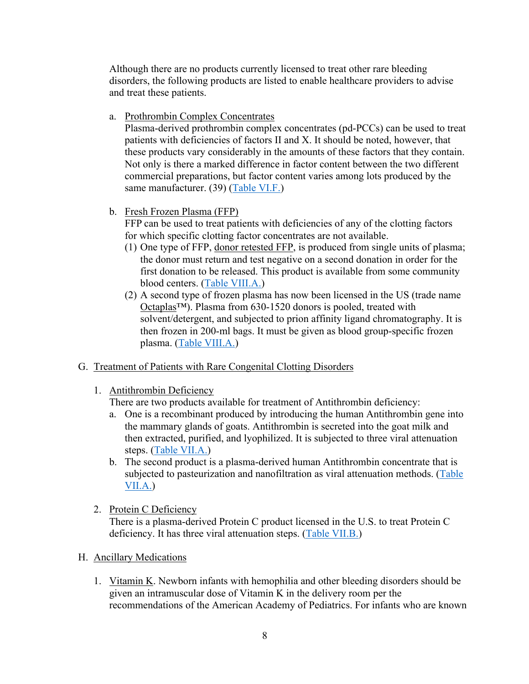Although there are no products currently licensed to treat other rare bleeding disorders, the following products are listed to enable healthcare providers to advise and treat these patients.

a. Prothrombin Complex Concentrates

Plasma-derived prothrombin complex concentrates (pd-PCCs) can be used to treat patients with deficiencies of factors II and X. It should be noted, however, that these products vary considerably in the amounts of these factors that they contain. Not only is there a marked difference in factor content between the two different commercial preparations, but factor content varies among lots produced by the same manufacturer. (39) (Table VI.F.)

b. Fresh Frozen Plasma (FFP)

FFP can be used to treat patients with deficiencies of any of the clotting factors for which specific clotting factor concentrates are not available.

- (1) One type of FFP, donor retested FFP, is produced from single units of plasma; the donor must return and test negative on a second donation in order for the first donation to be released. This product is available from some community blood centers. (Table VIII.A.)
- (2) A second type of frozen plasma has now been licensed in the US (trade name Octaplas™). Plasma from 630-1520 donors is pooled, treated with solvent/detergent, and subjected to prion affinity ligand chromatography. It is then frozen in 200-ml bags. It must be given as blood group-specific frozen plasma. (Table VIII.A.)

## G. Treatment of Patients with Rare Congenital Clotting Disorders

## 1. Antithrombin Deficiency

There are two products available for treatment of Antithrombin deficiency:

- a. One is a recombinant produced by introducing the human Antithrombin gene into the mammary glands of goats. Antithrombin is secreted into the goat milk and then extracted, purified, and lyophilized. It is subjected to three viral attenuation steps. (Table VII.A.)
- b. The second product is a plasma-derived human Antithrombin concentrate that is subjected to pasteurization and nanofiltration as viral attenuation methods. (Table VII.A.)
- 2. Protein C Deficiency

There is a plasma-derived Protein C product licensed in the U.S. to treat Protein C deficiency. It has three viral attenuation steps. (Table VII.B.)

# H. Ancillary Medications

1. Vitamin K. Newborn infants with hemophilia and other bleeding disorders should be given an intramuscular dose of Vitamin K in the delivery room per the recommendations of the American Academy of Pediatrics. For infants who are known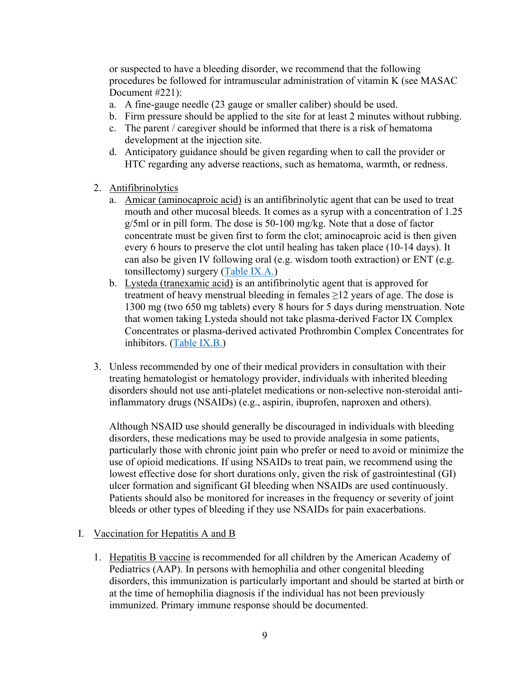or suspected to have a bleeding disorder, we recommend that the following procedures be followed for intramuscular administration of vitamin K (see MASAC Document #221):

- a. A fine-gauge needle (23 gauge or smaller caliber) should be used.
- b. Firm pressure should be applied to the site for at least 2 minutes without rubbing.
- c. The parent / caregiver should be informed that there is a risk of hematoma development at the injection site.
- d. Anticipatory guidance should be given regarding when to call the provider or HTC regarding any adverse reactions, such as hematoma, warmth, or redness.
- 2. Antifibrinolytics
	- a. Amicar (aminocaproic acid) is an antifibrinolytic agent that can be used to treat mouth and other mucosal bleeds. It comes as a syrup with a concentration of 1.25 g/5ml or in pill form. The dose is 50-100 mg/kg. Note that a dose of factor concentrate must be given first to form the clot; aminocaproic acid is then given every 6 hours to preserve the clot until healing has taken place (10-14 days). It can also be given IV following oral (e.g. wisdom tooth extraction) or ENT (e.g. tonsillectomy) surgery (Table IX.A.)
	- b. Lysteda (tranexamic acid) is an antifibrinolytic agent that is approved for treatment of heavy menstrual bleeding in females  $\geq$ 12 years of age. The dose is 1300 mg (two 650 mg tablets) every 8 hours for 5 days during menstruation. Note that women taking Lysteda should not take plasma-derived Factor IX Complex Concentrates or plasma-derived activated Prothrombin Complex Concentrates for inhibitors. (Table IX.B.)
- 3. Unless recommended by one of their medical providers in consultation with their treating hematologist or hematology provider, individuals with inherited bleeding disorders should not use anti-platelet medications or non-selective non-steroidal antiinflammatory drugs (NSAIDs) (e.g., aspirin, ibuprofen, naproxen and others).

Although NSAID use should generally be discouraged in individuals with bleeding disorders, these medications may be used to provide analgesia in some patients, particularly those with chronic joint pain who prefer or need to avoid or minimize the use of opioid medications. If using NSAIDs to treat pain, we recommend using the lowest effective dose for short durations only, given the risk of gastrointestinal (GI) ulcer formation and significant GI bleeding when NSAIDs are used continuously. Patients should also be monitored for increases in the frequency or severity of joint bleeds or other types of bleeding if they use NSAIDs for pain exacerbations.

### I. Vaccination for Hepatitis A and B

1. Hepatitis B vaccine is recommended for all children by the American Academy of Pediatrics (AAP). In persons with hemophilia and other congenital bleeding disorders, this immunization is particularly important and should be started at birth or at the time of hemophilia diagnosis if the individual has not been previously immunized. Primary immune response should be documented.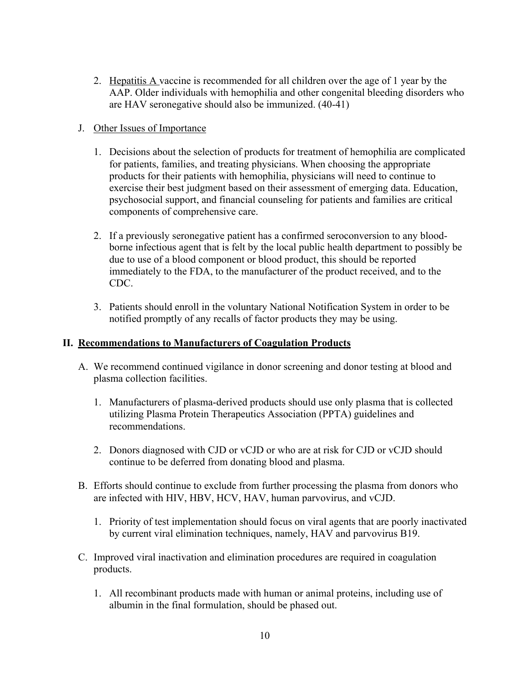2. Hepatitis A vaccine is recommended for all children over the age of 1 year by the AAP. Older individuals with hemophilia and other congenital bleeding disorders who are HAV seronegative should also be immunized. (40-41)

### J. Other Issues of Importance

- 1. Decisions about the selection of products for treatment of hemophilia are complicated for patients, families, and treating physicians. When choosing the appropriate products for their patients with hemophilia, physicians will need to continue to exercise their best judgment based on their assessment of emerging data. Education, psychosocial support, and financial counseling for patients and families are critical components of comprehensive care.
- 2. If a previously seronegative patient has a confirmed seroconversion to any bloodborne infectious agent that is felt by the local public health department to possibly be due to use of a blood component or blood product, this should be reported immediately to the FDA, to the manufacturer of the product received, and to the CDC.
- 3. Patients should enroll in the voluntary National Notification System in order to be notified promptly of any recalls of factor products they may be using.

### **II. Recommendations to Manufacturers of Coagulation Products**

- A. We recommend continued vigilance in donor screening and donor testing at blood and plasma collection facilities.
	- 1. Manufacturers of plasma-derived products should use only plasma that is collected utilizing Plasma Protein Therapeutics Association (PPTA) guidelines and recommendations.
	- 2. Donors diagnosed with CJD or vCJD or who are at risk for CJD or vCJD should continue to be deferred from donating blood and plasma.
- B. Efforts should continue to exclude from further processing the plasma from donors who are infected with HIV, HBV, HCV, HAV, human parvovirus, and vCJD.
	- 1. Priority of test implementation should focus on viral agents that are poorly inactivated by current viral elimination techniques, namely, HAV and parvovirus B19.
- C. Improved viral inactivation and elimination procedures are required in coagulation products.
	- 1. All recombinant products made with human or animal proteins, including use of albumin in the final formulation, should be phased out.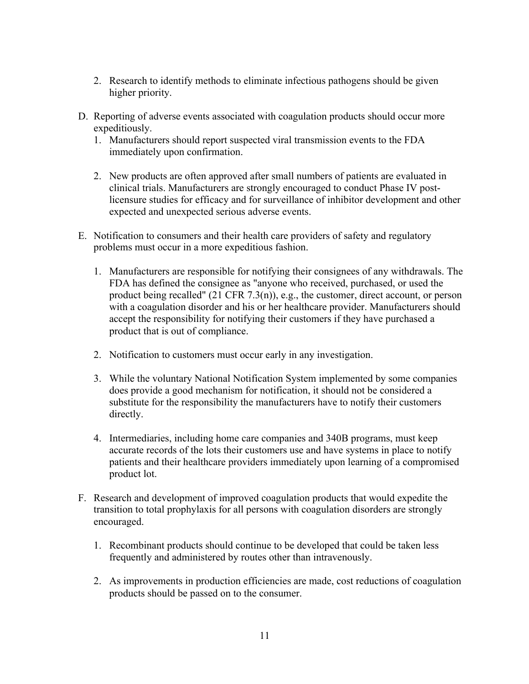- 2. Research to identify methods to eliminate infectious pathogens should be given higher priority.
- D. Reporting of adverse events associated with coagulation products should occur more expeditiously.
	- 1. Manufacturers should report suspected viral transmission events to the FDA immediately upon confirmation.
	- 2. New products are often approved after small numbers of patients are evaluated in clinical trials. Manufacturers are strongly encouraged to conduct Phase IV postlicensure studies for efficacy and for surveillance of inhibitor development and other expected and unexpected serious adverse events.
- E. Notification to consumers and their health care providers of safety and regulatory problems must occur in a more expeditious fashion.
	- 1. Manufacturers are responsible for notifying their consignees of any withdrawals. The FDA has defined the consignee as "anyone who received, purchased, or used the product being recalled" (21 CFR 7.3(n)), e.g., the customer, direct account, or person with a coagulation disorder and his or her healthcare provider. Manufacturers should accept the responsibility for notifying their customers if they have purchased a product that is out of compliance.
	- 2. Notification to customers must occur early in any investigation.
	- 3. While the voluntary National Notification System implemented by some companies does provide a good mechanism for notification, it should not be considered a substitute for the responsibility the manufacturers have to notify their customers directly.
	- 4. Intermediaries, including home care companies and 340B programs, must keep accurate records of the lots their customers use and have systems in place to notify patients and their healthcare providers immediately upon learning of a compromised product lot.
- F. Research and development of improved coagulation products that would expedite the transition to total prophylaxis for all persons with coagulation disorders are strongly encouraged.
	- 1. Recombinant products should continue to be developed that could be taken less frequently and administered by routes other than intravenously.
	- 2. As improvements in production efficiencies are made, cost reductions of coagulation products should be passed on to the consumer.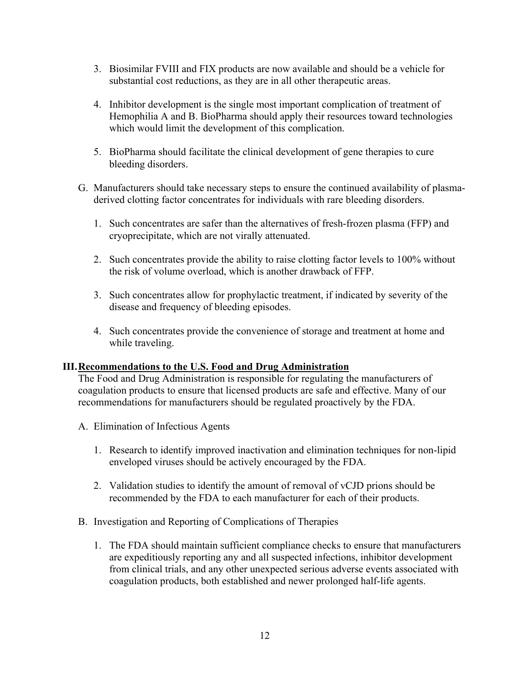- 3. Biosimilar FVIII and FIX products are now available and should be a vehicle for substantial cost reductions, as they are in all other therapeutic areas.
- 4. Inhibitor development is the single most important complication of treatment of Hemophilia A and B. BioPharma should apply their resources toward technologies which would limit the development of this complication.
- 5. BioPharma should facilitate the clinical development of gene therapies to cure bleeding disorders.
- G. Manufacturers should take necessary steps to ensure the continued availability of plasmaderived clotting factor concentrates for individuals with rare bleeding disorders.
	- 1. Such concentrates are safer than the alternatives of fresh-frozen plasma (FFP) and cryoprecipitate, which are not virally attenuated.
	- 2. Such concentrates provide the ability to raise clotting factor levels to 100% without the risk of volume overload, which is another drawback of FFP.
	- 3. Such concentrates allow for prophylactic treatment, if indicated by severity of the disease and frequency of bleeding episodes.
	- 4. Such concentrates provide the convenience of storage and treatment at home and while traveling.

### **III.Recommendations to the U.S. Food and Drug Administration**

The Food and Drug Administration is responsible for regulating the manufacturers of coagulation products to ensure that licensed products are safe and effective. Many of our recommendations for manufacturers should be regulated proactively by the FDA.

- A. Elimination of Infectious Agents
	- 1. Research to identify improved inactivation and elimination techniques for non-lipid enveloped viruses should be actively encouraged by the FDA.
	- 2. Validation studies to identify the amount of removal of vCJD prions should be recommended by the FDA to each manufacturer for each of their products.
- B. Investigation and Reporting of Complications of Therapies
	- 1. The FDA should maintain sufficient compliance checks to ensure that manufacturers are expeditiously reporting any and all suspected infections, inhibitor development from clinical trials, and any other unexpected serious adverse events associated with coagulation products, both established and newer prolonged half-life agents.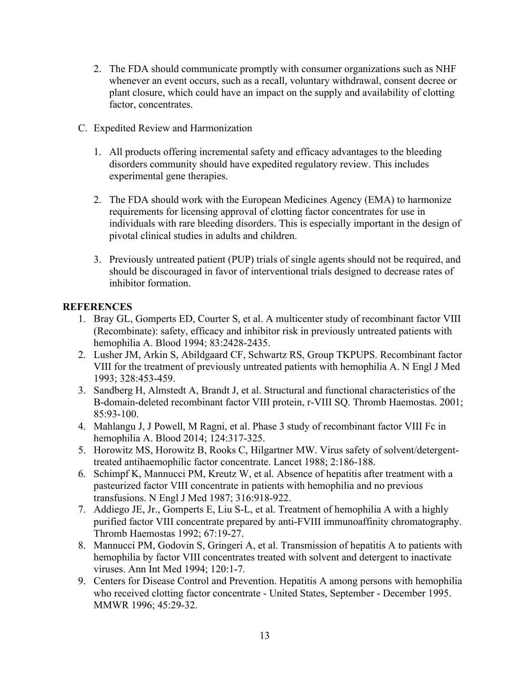- 2. The FDA should communicate promptly with consumer organizations such as NHF whenever an event occurs, such as a recall, voluntary withdrawal, consent decree or plant closure, which could have an impact on the supply and availability of clotting factor, concentrates.
- C. Expedited Review and Harmonization
	- 1. All products offering incremental safety and efficacy advantages to the bleeding disorders community should have expedited regulatory review. This includes experimental gene therapies.
	- 2. The FDA should work with the European Medicines Agency (EMA) to harmonize requirements for licensing approval of clotting factor concentrates for use in individuals with rare bleeding disorders. This is especially important in the design of pivotal clinical studies in adults and children.
	- 3. Previously untreated patient (PUP) trials of single agents should not be required, and should be discouraged in favor of interventional trials designed to decrease rates of inhibitor formation.

# **REFERENCES**

- 1. Bray GL, Gomperts ED, Courter S, et al. A multicenter study of recombinant factor VIII (Recombinate): safety, efficacy and inhibitor risk in previously untreated patients with hemophilia A. Blood 1994; 83:2428-2435.
- 2. Lusher JM, Arkin S, Abildgaard CF, Schwartz RS, Group TKPUPS. Recombinant factor VIII for the treatment of previously untreated patients with hemophilia A. N Engl J Med 1993; 328:453-459.
- 3. Sandberg H, Almstedt A, Brandt J, et al. Structural and functional characteristics of the B-domain-deleted recombinant factor VIII protein, r-VIII SQ. Thromb Haemostas. 2001; 85:93-100.
- 4. Mahlangu J, J Powell, M Ragni, et al. Phase 3 study of recombinant factor VIII Fc in hemophilia A. Blood 2014; 124:317-325.
- 5. Horowitz MS, Horowitz B, Rooks C, Hilgartner MW. Virus safety of solvent/detergenttreated antihaemophilic factor concentrate. Lancet 1988; 2:186-188.
- 6. Schimpf K, Mannucci PM, Kreutz W, et al. Absence of hepatitis after treatment with a pasteurized factor VIII concentrate in patients with hemophilia and no previous transfusions. N Engl J Med 1987; 316:918-922.
- 7. Addiego JE, Jr., Gomperts E, Liu S-L, et al. Treatment of hemophilia A with a highly purified factor VIII concentrate prepared by anti-FVIII immunoaffinity chromatography. Thromb Haemostas 1992; 67:19-27.
- 8. Mannucci PM, Godovin S, Gringeri A, et al. Transmission of hepatitis A to patients with hemophilia by factor VIII concentrates treated with solvent and detergent to inactivate viruses. Ann Int Med 1994; 120:1-7.
- 9. Centers for Disease Control and Prevention. Hepatitis A among persons with hemophilia who received clotting factor concentrate - United States, September - December 1995. MMWR 1996; 45:29-32.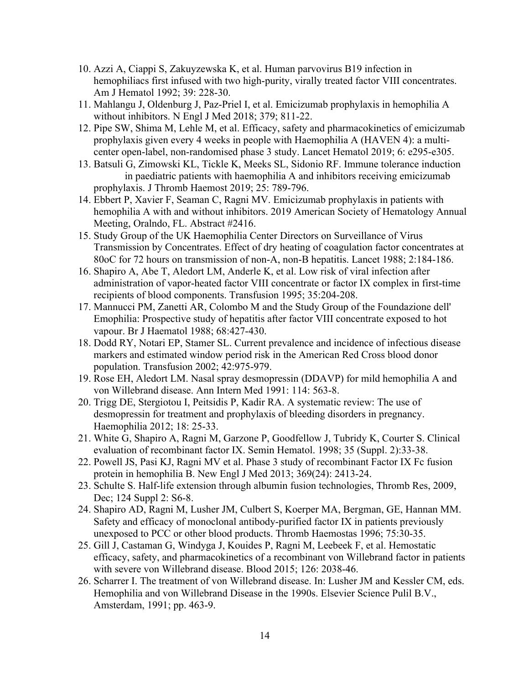- 10. Azzi A, Ciappi S, Zakuyzewska K, et al. Human parvovirus B19 infection in hemophiliacs first infused with two high-purity, virally treated factor VIII concentrates. Am J Hematol 1992; 39: 228-30.
- 11. Mahlangu J, Oldenburg J, Paz-Priel I, et al. Emicizumab prophylaxis in hemophilia A without inhibitors. N Engl J Med 2018; 379; 811-22.
- 12. Pipe SW, Shima M, Lehle M, et al. Efficacy, safety and pharmacokinetics of emicizumab prophylaxis given every 4 weeks in people with Haemophilia A (HAVEN 4): a multicenter open-label, non-randomised phase 3 study. Lancet Hematol 2019; 6: e295-e305.
- 13. Batsuli G, Zimowski KL, Tickle K, Meeks SL, Sidonio RF. Immune tolerance induction in paediatric patients with haemophilia A and inhibitors receiving emicizumab prophylaxis. J Thromb Haemost 2019; 25: 789-796.
- 14. Ebbert P, Xavier F, Seaman C, Ragni MV. Emicizumab prophylaxis in patients with hemophilia A with and without inhibitors. 2019 American Society of Hematology Annual Meeting, Oralndo, FL. Abstract #2416.
- 15. Study Group of the UK Haemophilia Center Directors on Surveillance of Virus Transmission by Concentrates. Effect of dry heating of coagulation factor concentrates at 80oC for 72 hours on transmission of non-A, non-B hepatitis. Lancet 1988; 2:184-186.
- 16. Shapiro A, Abe T, Aledort LM, Anderle K, et al. Low risk of viral infection after administration of vapor-heated factor VIII concentrate or factor IX complex in first-time recipients of blood components. Transfusion 1995; 35:204-208.
- 17. Mannucci PM, Zanetti AR, Colombo M and the Study Group of the Foundazione dell' Emophilia: Prospective study of hepatitis after factor VIII concentrate exposed to hot vapour. Br J Haematol 1988; 68:427-430.
- 18. Dodd RY, Notari EP, Stamer SL. Current prevalence and incidence of infectious disease markers and estimated window period risk in the American Red Cross blood donor population. Transfusion 2002; 42:975-979.
- 19. Rose EH, Aledort LM. Nasal spray desmopressin (DDAVP) for mild hemophilia A and von Willebrand disease. Ann Intern Med 1991: 114: 563-8.
- 20. Trigg DE, Stergiotou I, Peitsidis P, Kadir RA. A systematic review: The use of desmopressin for treatment and prophylaxis of bleeding disorders in pregnancy. Haemophilia 2012; 18: 25-33.
- 21. White G, Shapiro A, Ragni M, Garzone P, Goodfellow J, Tubridy K, Courter S. Clinical evaluation of recombinant factor IX. Semin Hematol. 1998; 35 (Suppl. 2):33-38.
- 22. Powell JS, Pasi KJ, Ragni MV et al. Phase 3 study of recombinant Factor IX Fc fusion protein in hemophilia B. New Engl J Med 2013; 369(24): 2413-24.
- 23. Schulte S. Half-life extension through albumin fusion technologies, Thromb Res, 2009, Dec; 124 Suppl 2: S6-8.
- 24. Shapiro AD, Ragni M, Lusher JM, Culbert S, Koerper MA, Bergman, GE, Hannan MM. Safety and efficacy of monoclonal antibody-purified factor IX in patients previously unexposed to PCC or other blood products. Thromb Haemostas 1996; 75:30-35.
- 25. Gill J, Castaman G, Windyga J, Kouides P, Ragni M, Leebeek F, et al. Hemostatic efficacy, safety, and pharmacokinetics of a recombinant von Willebrand factor in patients with severe von Willebrand disease. Blood 2015; 126: 2038-46.
- 26. Scharrer I. The treatment of von Willebrand disease. In: Lusher JM and Kessler CM, eds. Hemophilia and von Willebrand Disease in the 1990s. Elsevier Science Pulil B.V., Amsterdam, 1991; pp. 463-9.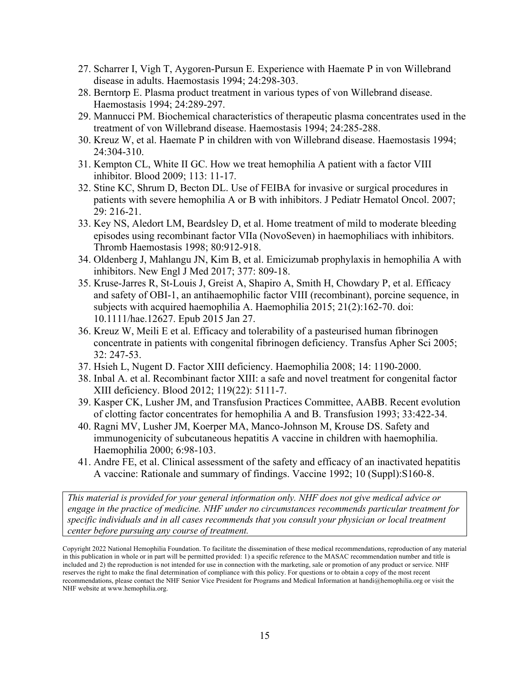- 27. Scharrer I, Vigh T, Aygoren-Pursun E. Experience with Haemate P in von Willebrand disease in adults. Haemostasis 1994; 24:298-303.
- 28. Berntorp E. Plasma product treatment in various types of von Willebrand disease. Haemostasis 1994; 24:289-297.
- 29. Mannucci PM. Biochemical characteristics of therapeutic plasma concentrates used in the treatment of von Willebrand disease. Haemostasis 1994; 24:285-288.
- 30. Kreuz W, et al. Haemate P in children with von Willebrand disease. Haemostasis 1994; 24:304-310.
- 31. Kempton CL, White II GC. How we treat hemophilia A patient with a factor VIII inhibitor. Blood 2009; 113: 11-17.
- 32. Stine KC, Shrum D, Becton DL. Use of FEIBA for invasive or surgical procedures in patients with severe hemophilia A or B with inhibitors. J Pediatr Hematol Oncol. 2007; 29: 216-21.
- 33. Key NS, Aledort LM, Beardsley D, et al. Home treatment of mild to moderate bleeding episodes using recombinant factor VIIa (NovoSeven) in haemophiliacs with inhibitors. Thromb Haemostasis 1998; 80:912-918.
- 34. Oldenberg J, Mahlangu JN, Kim B, et al. Emicizumab prophylaxis in hemophilia A with inhibitors. New Engl J Med 2017; 377: 809-18.
- 35. Kruse-Jarres R, St-Louis J, Greist A, Shapiro A, Smith H, Chowdary P, et al. Efficacy and safety of OBI-1, an antihaemophilic factor VIII (recombinant), porcine sequence, in subjects with acquired haemophilia A. Haemophilia 2015; 21(2):162-70. doi: 10.1111/hae.12627. Epub 2015 Jan 27.
- 36. Kreuz W, Meili E et al. Efficacy and tolerability of a pasteurised human fibrinogen concentrate in patients with congenital fibrinogen deficiency. Transfus Apher Sci 2005; 32: 247-53.
- 37. Hsieh L, Nugent D. Factor XIII deficiency. Haemophilia 2008; 14: 1190-2000.
- 38. Inbal A. et al. Recombinant factor XIII: a safe and novel treatment for congenital factor XIII deficiency. Blood 2012; 119(22): 5111-7.
- 39. Kasper CK, Lusher JM, and Transfusion Practices Committee, AABB. Recent evolution of clotting factor concentrates for hemophilia A and B. Transfusion 1993; 33:422-34.
- 40. Ragni MV, Lusher JM, Koerper MA, Manco-Johnson M, Krouse DS. Safety and immunogenicity of subcutaneous hepatitis A vaccine in children with haemophilia. Haemophilia 2000; 6:98-103.
- 41. Andre FE, et al. Clinical assessment of the safety and efficacy of an inactivated hepatitis A vaccine: Rationale and summary of findings. Vaccine 1992; 10 (Suppl):S160-8.

*This material is provided for your general information only. NHF does not give medical advice or engage in the practice of medicine. NHF under no circumstances recommends particular treatment for specific individuals and in all cases recommends that you consult your physician or local treatment center before pursuing any course of treatment.*

Copyright 2022 National Hemophilia Foundation. To facilitate the dissemination of these medical recommendations, reproduction of any material in this publication in whole or in part will be permitted provided: 1) a specific reference to the MASAC recommendation number and title is included and 2) the reproduction is not intended for use in connection with the marketing, sale or promotion of any product or service. NHF reserves the right to make the final determination of compliance with this policy. For questions or to obtain a copy of the most recent recommendations, please contact the NHF Senior Vice President for Programs and Medical Information at handi@hemophilia.org or visit the NHF website at www.hemophilia.org.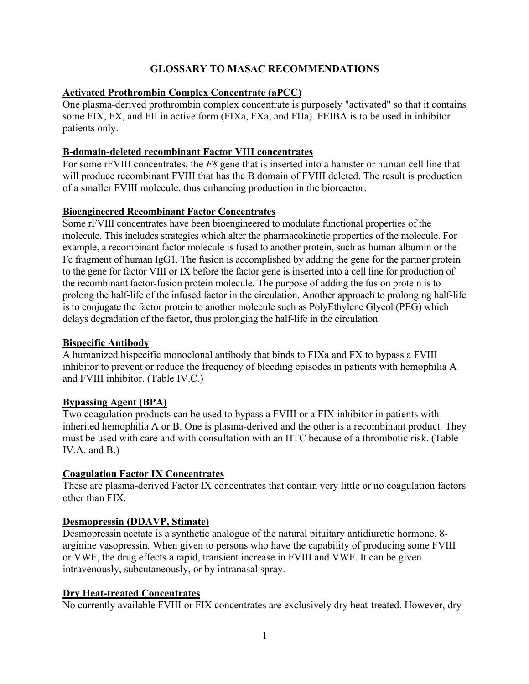# **GLOSSARY TO MASAC RECOMMENDATIONS**

## **Activated Prothrombin Complex Concentrate (aPCC)**

One plasma-derived prothrombin complex concentrate is purposely "activated" so that it contains some FIX, FX, and FII in active form (FIXa, FXa, and FIIa). FEIBA is to be used in inhibitor patients only.

## **B-domain-deleted recombinant Factor VIII concentrates**

For some rFVIII concentrates, the *F8* gene that is inserted into a hamster or human cell line that will produce recombinant FVIII that has the B domain of FVIII deleted. The result is production of a smaller FVIII molecule, thus enhancing production in the bioreactor.

# **Bioengineered Recombinant Factor Concentrates**

Some rFVIII concentrates have been bioengineered to modulate functional properties of the molecule. This includes strategies which alter the pharmacokinetic properties of the molecule. For example, a recombinant factor molecule is fused to another protein, such as human albumin or the Fc fragment of human IgG1. The fusion is accomplished by adding the gene for the partner protein to the gene for factor VIII or IX before the factor gene is inserted into a cell line for production of the recombinant factor-fusion protein molecule. The purpose of adding the fusion protein is to prolong the half-life of the infused factor in the circulation. Another approach to prolonging half-life is to conjugate the factor protein to another molecule such as PolyEthylene Glycol (PEG) which delays degradation of the factor, thus prolonging the half-life in the circulation.

## **Bispecific Antibody**

A humanized bispecific monoclonal antibody that binds to FIXa and FX to bypass a FVIII inhibitor to prevent or reduce the frequency of bleeding episodes in patients with hemophilia A and FVIII inhibitor. (Table IV.C.)

## **Bypassing Agent (BPA)**

Two coagulation products can be used to bypass a FVIII or a FIX inhibitor in patients with inherited hemophilia A or B. One is plasma-derived and the other is a recombinant product. They must be used with care and with consultation with an HTC because of a thrombotic risk. (Table IV.A. and B.)

## **Coagulation Factor IX Concentrates**

These are plasma-derived Factor IX concentrates that contain very little or no coagulation factors other than FIX.

## **Desmopressin (DDAVP, Stimate)**

Desmopressin acetate is a synthetic analogue of the natural pituitary antidiuretic hormone, 8 arginine vasopressin. When given to persons who have the capability of producing some FVIII or VWF, the drug effects a rapid, transient increase in FVIII and VWF. It can be given intravenously, subcutaneously, or by intranasal spray.

## **Dry Heat-treated Concentrates**

No currently available FVIII or FIX concentrates are exclusively dry heat-treated. However, dry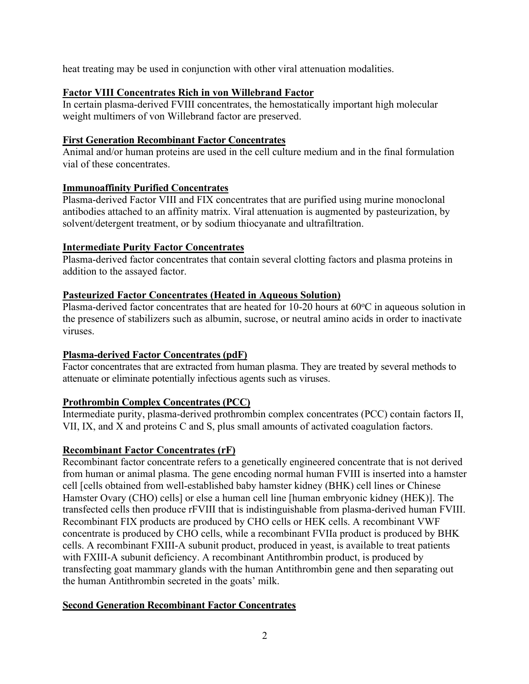heat treating may be used in conjunction with other viral attenuation modalities.

### **Factor VIII Concentrates Rich in von Willebrand Factor**

In certain plasma-derived FVIII concentrates, the hemostatically important high molecular weight multimers of von Willebrand factor are preserved.

### **First Generation Recombinant Factor Concentrates**

Animal and/or human proteins are used in the cell culture medium and in the final formulation vial of these concentrates.

## **Immunoaffinity Purified Concentrates**

Plasma-derived Factor VIII and FIX concentrates that are purified using murine monoclonal antibodies attached to an affinity matrix. Viral attenuation is augmented by pasteurization, by solvent/detergent treatment, or by sodium thiocyanate and ultrafiltration.

### **Intermediate Purity Factor Concentrates**

Plasma-derived factor concentrates that contain several clotting factors and plasma proteins in addition to the assayed factor.

### **Pasteurized Factor Concentrates (Heated in Aqueous Solution)**

Plasma-derived factor concentrates that are heated for 10-20 hours at  $60^{\circ}$ C in aqueous solution in the presence of stabilizers such as albumin, sucrose, or neutral amino acids in order to inactivate viruses.

## **Plasma-derived Factor Concentrates (pdF)**

Factor concentrates that are extracted from human plasma. They are treated by several methods to attenuate or eliminate potentially infectious agents such as viruses.

## **Prothrombin Complex Concentrates (PCC)**

Intermediate purity, plasma-derived prothrombin complex concentrates (PCC) contain factors II, VII, IX, and X and proteins C and S, plus small amounts of activated coagulation factors.

### **Recombinant Factor Concentrates (rF)**

Recombinant factor concentrate refers to a genetically engineered concentrate that is not derived from human or animal plasma. The gene encoding normal human FVIII is inserted into a hamster cell [cells obtained from well-established baby hamster kidney (BHK) cell lines or Chinese Hamster Ovary (CHO) cells] or else a human cell line [human embryonic kidney (HEK)]. The transfected cells then produce rFVIII that is indistinguishable from plasma-derived human FVIII. Recombinant FIX products are produced by CHO cells or HEK cells. A recombinant VWF concentrate is produced by CHO cells, while a recombinant FVIIa product is produced by BHK cells. A recombinant FXIII-A subunit product, produced in yeast, is available to treat patients with FXIII-A subunit deficiency. A recombinant Antithrombin product, is produced by transfecting goat mammary glands with the human Antithrombin gene and then separating out the human Antithrombin secreted in the goats' milk.

### **Second Generation Recombinant Factor Concentrates**